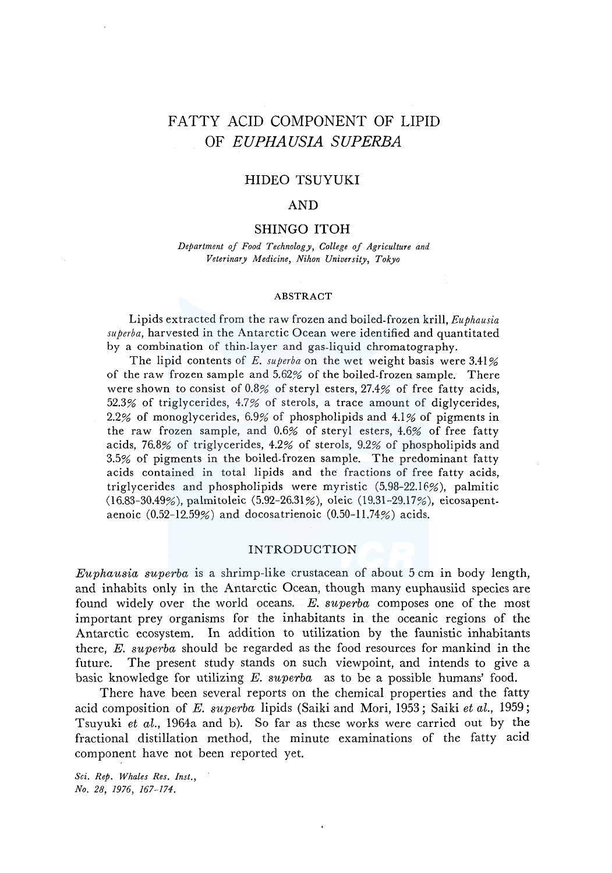# FATTY ACID COMPONENT OF LIPID OF *EUPHAUSIA SUPERBA*

# HIDEO TSUYUKI

# AND

# SHINGO ITOH

*Department of Food Technology, College of Agriculture and Veterinary Medicine, Nihon University, Tokyo* 

#### ABSTRACT

Lipids extracted from the raw frozen and boiled-frozen krill, *Euphausia superba,* harvested in the Antarctic Ocean were identified and quantitated by a combination of thin-layer and gas-liquid chromatography.

The lipid contents of *E. superba* on the wet weight basis were 3.41% of the raw frozen sample and 5.62% of the boiled-frozen sample. There were shown to consist of 0.8% of steryl esters, 27.4% of free fatty acids, 52.3% of triglycerides, 4.7% of sterols, a trace amount of diglycerides, 2.2% of monoglycerides, 6.9% of phospholipids and 4.1% of pigments in the raw frozen sample, and 0.6% of steryl esters, 4.6% of free fatty acids, 76.8% of triglycerides, 4.2% of sterols, 9.2% of phospholipids and 3.5% of pigments in the boiled-frozen sample. The predominant fatty acids contained in total lipids and the fractions of free fatty acids, triglycerides and phospholipids were myristic (5.98-22.16%), palmitic (16.83-30.49%), palmitoleic (5.92-26.31 %), oleic (19.31-29.17%), eicosapentaenoic (0.52-12.59%) and docosatrienoic (0.50-11.74%) acids.

## INTRODUCTION

*Euphausia superba* is a shrimp-like crustacean of about 5 cm in body length, and inhabits only in the Antarctic Ocean, though many euphausiid species are found widely over the world oceans. *E. superba* composes one of the most important prey organisms for the inhabitants in the oceanic regions of the Antarctic ecosystem. In addition to utilization by the faunistic inhabitants there, *E. superba* should be regarded as the food resources for mankind in the future. The present study stands on such viewpoint, and intends to give a basic knowledge for utilizing *E. superba* as to be a possible humans' food.

There have been several reports on the chemical properties and the fatty acid composition of *E. superba* lipids (Saiki and Mori, 1953; Saiki *et al.,* 1959; Tsuyuki *et al.,* 1964a and b). So far as these works were carried out by the fractional distillation method, the minute examinations of the fatty acid component have not been reported yet.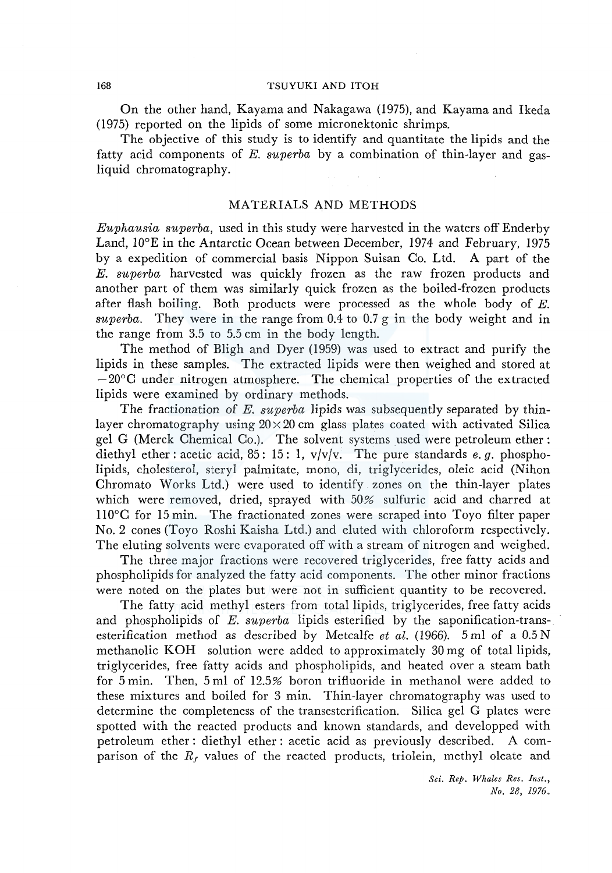#### 168 TSUYUKI AND ITOH

On the other hand, Kayama and Nakagawa (1975), and Kayama and Ikeda (1975) reported on the lipids of some micronektonic shrimps.

The objective of this study is to identify and quantitate the lipids and the fatty acid components of *E. superba* by a combination of thin-layer and gasliquid chromatography.

## MATERIALS AND METHODS

*Euphausia superba,* used in this study were harvested in the waters off Enderby Land, 10°E in the Antarctic Ocean between December, 1974 and February, 1975 by a expedition of commercial basis Nippon Suisan Co. Ltd. A part of the *E. superba* harvested was quickly frozen as the raw frozen products and another part of them was similarly quick frozen as the boiled-frozen products after flash boiling. Both products were processed as the whole body of  $E$ . *superba.* They were in the range from 0.4 to 0.7 g in the body weight and in the range from 3.5 to 5.5 cm in the body length.

The method of Bligh and Dyer (1959) was used to extract and purify the lipids in these samples. The extracted lipids were then weighed and stored at  $-20^{\circ}$ C under nitrogen atmosphere. The chemical properties of the extracted lipids were examined by ordinary methods.

The fractionation of *E. superba* lipids was subsequently separated by thinlayer chromatography using  $20 \times 20$  cm glass plates coated with activated Silica gel G (Merck Chemical Co.). The solvent systems used were petroleum ether: diethyl ether: acetic acid, 85: 15: 1, v/v/v. The pure standards *e. g.* phospholipids, cholesterol, steryl palmitate, mono, di, triglycerides, oleic acid (Nihon Chromato Works Ltd.) were used to identify zones on the thin-layer plates which were removed, dried, sprayed with 50% sulfuric acid and charred at ll0°C for 15 min. The fractionated zones were scraped into Toyo filter paper No. 2 cones (Toyo Roshi Kaisha Ltd.) and eluted with chloroform respectively. The eluting solvents were evaporated off with a stream of nitrogen and weighed.

The three major fractions were recovered triglycerides, free fatty acids and phospholipids for analyzed the fatty acid components. The other minor fractions were noted on the plates but were not in sufficient quantity to be recovered.

The fatty acid methyl esters from total lipids, triglycerides, free fatty acids and phospholipids of *E. superba* lipids esterified by the saponification-transesterification method as described by Metcalfe *et al.* (1966). 5 ml of a 0.5 N methanolic KOH solution were added to approximately 30 mg of total lipids, triglycerides, free fatty acids and phospholipids, and heated over a steam bath for 5 min. Then, 5 ml of 12.5% boron trifluoride in methanol were added to these mixtures and boiled for 3 min. Thin-layer chromatography was used to determine the completeness of the transesterification. Silica gel G plates were spotted with the reacted products and known standards, and developped with petroleum ether: diethyl ether: acetic acid as previously described. A comparison of the  $R_f$  values of the reacted products, triolein, methyl oleate and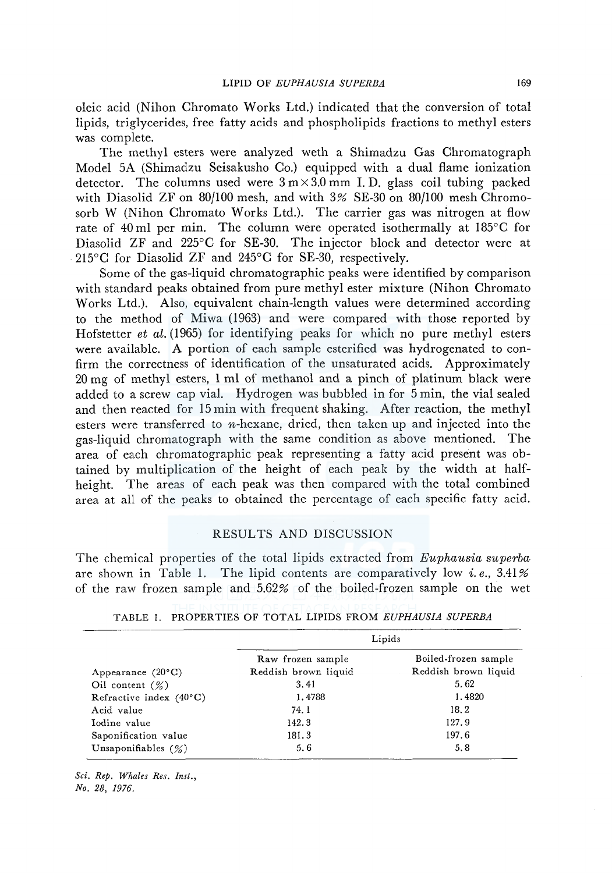oleic acid (Nihon Chromato Works Ltd.) indicated that the conversion of total lipids, triglycerides, free fatty acids and phospholipids fractions to methyl esters was complete.

The methyl esters were analyzed weth a Shimadzu Gas Chromatograph Model SA (Shimadzu Seisakusho Co.) equipped with a dual flame ionization detector. The columns used were  $3 \text{ m} \times 3.0 \text{ mm}$  I.D. glass coil tubing packed with Diasolid ZF on 80/100 mesh, and with 3% SE-30 on 80/100 mesh Chromosorb W (Nihon Chromato Works Ltd.). The carrier gas was nitrogen at flow rate of 40 ml per min. The column were operated isothermally at 185°C for Diasolid ZF and 225°C for SE-30. The injector block and detector were at 215°C for Diasolid ZF and 245°C for SE-30, respectively.

Some of the gas-liquid chromatographic peaks were identified by comparison with standard peaks obtained from pure methyl ester mixture (Nihon Chromato Works Ltd.). Also, equivalent chain-length values were determined according to the method of Miwa (1963) and were compared with those reported by Hofstetter *et al.* (1965) for identifying peaks for which no pure methyl esters were available. A portion of each sample esterified was hydrogenated to confirm the correctness of identification of the unsaturated acids. Approximately 20 mg of methyl esters, 1 ml of methanol and a pinch of platinum black were added to a screw cap vial. Hydrogen was bubbled in for 5 min, the vial sealed and then reacted for 15 min with frequent shaking. After reaction, the methyl esters were transferred to  $n$ -hexane, dried, then taken up and injected into the gas-liquid chromatograph with the same condition as above mentioned. The area of each chromatographic peak representing a fatty acid present was obtained by multiplication of the height of each peak by the width at halfheight. The areas of each peak was then compared with the total combined area at all of the peaks to obtained the percentage of each specific fatty acid.

## RESULTS AND DISCUSSION

The chemical properties of the total lipids extracted from *Euphausia superba*  are shown in Table 1. The lipid contents are comparatively low *i.e.*,  $3.41\%$ of the raw frozen sample and 5.62% of the boiled-frozen sample on the wet

| Lipids               |                      |  |  |
|----------------------|----------------------|--|--|
| Raw frozen sample    | Boiled-frozen sample |  |  |
| Reddish brown liquid | Reddish brown liquid |  |  |
| 3.41                 | 5.62                 |  |  |
| 1.4788               | 1.4820               |  |  |
| 74.1                 | 18.2                 |  |  |
| 142.3                | 127.9                |  |  |
| 181.3                | 197.6                |  |  |
| 5.6                  | 5.8                  |  |  |
|                      |                      |  |  |

|  | TABLE 1. PROPERTIES OF TOTAL LIPIDS FROM <i>EUPHAUSIA SUPERBA</i> |  |  |  |  |  |  |
|--|-------------------------------------------------------------------|--|--|--|--|--|--|
|--|-------------------------------------------------------------------|--|--|--|--|--|--|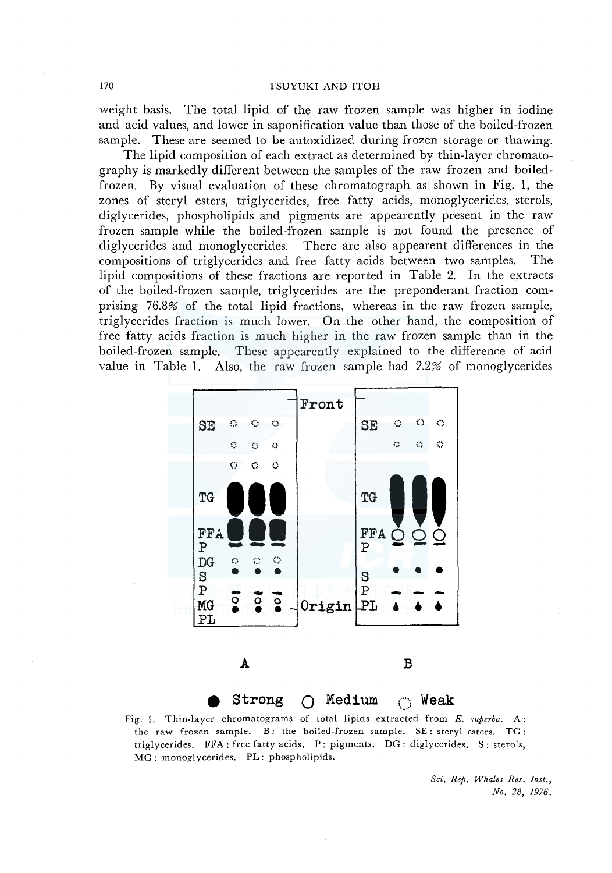#### 170 TSUYUKI AND ITOH

weight basis. The total lipid of the raw frozen sample was higher in iodine and acid values, and lower in saponification value than those of the boiled-frozen sample. These are seemed to be autoxidized during frozen storage or thawing.

The lipid composition of each extract as determined by thin-layer chromatography is markedly different between the samples of the raw frozen and boiledfrozen. By visual evaluation of these chromatograph as shown in Fig. 1, the zones of steryl esters, triglycerides, free fatty acids, monoglycerides, sterols, diglycerides, phospholipids and pigments are appearently present in the raw frozen sample while the boiled-frozen sample is not found the presence of diglycerides and monoglycerides. There are also appearent differences in the compositions of triglycerides and free fatty acids between two samples. The lipid compositions of these fractions are reported in Table 2. In the extracts of the boiled-frozen sample, triglycerides are the preponderant fraction comprising 76.8% of the total lipid fractions, whereas in the raw frozen sample, triglycerides fraction is much lower. On the other hand, the composition of free fatty acids fraction is much higher in the raw frozen sample than in the boiled-frozen sample. These appearently explained to the difference of acid value in Table 1. Also, the raw frozen sample had  $2.2%$  of monoglycerides



Fig. 1. Thin-layer chromatograms of total lipids extracted from *E. superba.* A: the raw frozen sample. B: the boiled-frozen sample. SE: steryl esters. TG: triglycerides. FFA: free fatty acids. P: pigments. DG: diglycerides. S: sterols, MG: monoglycerides. PL: phospholipids.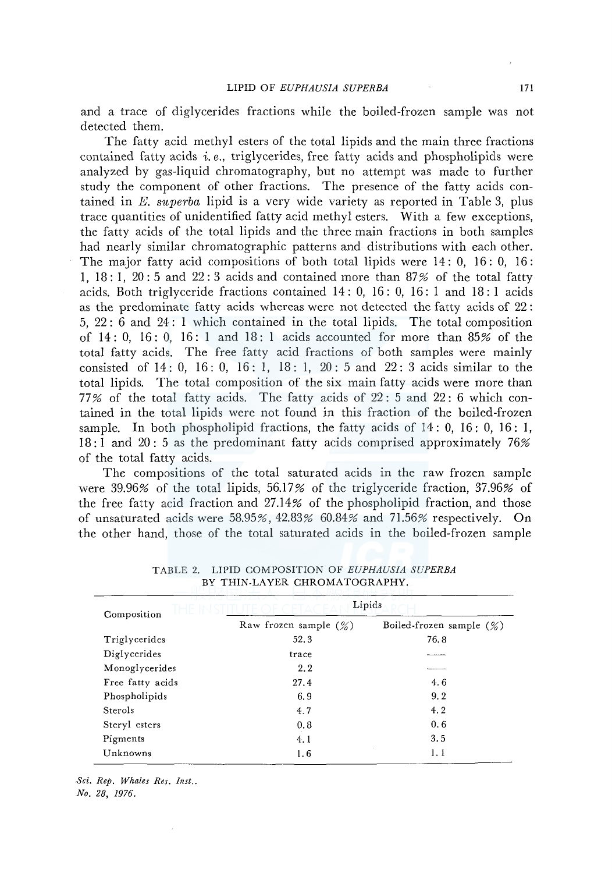and a trace of diglycerides fractions while the boiled-frozen sample was not detected them.

The fatty acid methyl esters of the total lipids and the main three fractions contained fatty acids i. *e.,* triglycerides, free fatty acids and phospholipids were analyzed by gas-liquid chromatography, but no attempt was made to further study the component of other fractions. The presence of the fatty acids contained in *E. superba* lipid is a very wide variety as reported in Table 3, plus trace quantities of unidentified fatty acid methyl esters. With a few exceptions, the fatty acids of the total lipids and the three main fractions in both samples had nearly similar chromatographic patterns and distributions with each other. The major fatty acid compositions of both total lipids were 14: 0, 16: 0, 16: 1, 18: 1, 20: 5 and 22: 3 acids and contained more than 87% of the total fatty acids. Both triglyceride fractions contained 14: 0, 16: 0, 16: 1 and 18: 1 acids as the predominate fatty acids whereas were not detected the fatty acids of 22: 5, 22 : 6 and 24: 1 which contained in the total lipids. The total composition of  $14: 0$ ,  $16: 0$ ,  $16: 1$  and  $18: 1$  acids accounted for more than  $85\%$  of the total fatty acids. The free fatty acid fractions of both samples were mainly consisted of 14: 0, 16: 0, 16: 1, 18: 1, 20: 5 and 22: 3 acids similar to the total lipids. The total composition of the six main fatty acids were more than 77% of the total fatty acids. The fatty acids of  $22:5$  and  $22:6$  which contained in the total lipids were not found in this fraction of the boiled-frozen sample. In both phospholipid fractions, the fatty acids of  $14:0, 16:0, 16:1$ , 18: I and 20: 5 as the predominant fatty acids comprised approximately 76% of the total fatty acids.

The compositions of the total saturated acids in the raw frozen sample were 39.96% of the total lipids,  $56.17\%$  of the triglyceride fraction, 37.96% of the free fatty acid fraction and 27.14% of the phospholipid fraction, and those of unsaturated acids were 58.95%, 42.83% 60.84% and 71.56% respectively. On the other hand, those of the total saturated acids in the boiled-frozen sample

| Composition      | Lipids                   |                             |  |  |  |  |
|------------------|--------------------------|-----------------------------|--|--|--|--|
|                  | Raw frozen sample $(\%)$ | Boiled-frozen sample $(\%)$ |  |  |  |  |
| Triglycerides    | 52.3                     | 76.8                        |  |  |  |  |
| Diglycerides     | trace                    |                             |  |  |  |  |
| Monoglycerides   | 2.2                      |                             |  |  |  |  |
| Free fatty acids | 27.4                     | 4.6                         |  |  |  |  |
| Phospholipids    | 6.9                      | 9.2                         |  |  |  |  |
| Sterols          | 4.7                      | 4.2                         |  |  |  |  |
| Steryl esters    | 0.8                      | 0.6                         |  |  |  |  |
| Pigments         | 4.1                      | 3.5                         |  |  |  |  |
| Unknowns         | 1.6                      | 1.1                         |  |  |  |  |

TABLE 2. LIPID COMPOSITION OF *EUPHAUSIA SUPERBA*  BY THIN-LAYER CHROMATOGRAPHY.

*Sci. Rep. Whales Res. Inst ..* 

*No. 28, 1976.*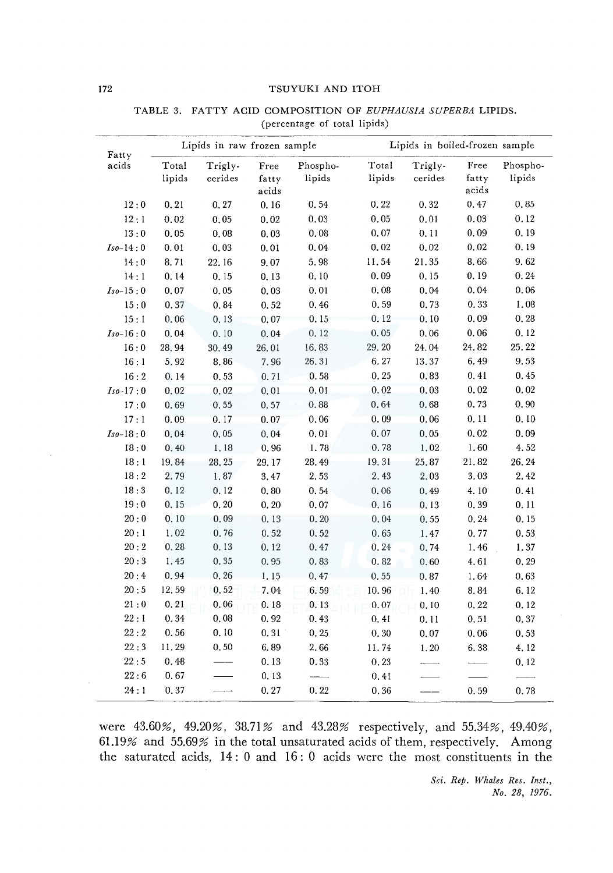#### 172 TSUYUKI AND ITOH

| Fatty           | Lipids in raw frozen sample |                    |                        | Lipids in boiled-frozen sample |                 |                          |                        |                    |
|-----------------|-----------------------------|--------------------|------------------------|--------------------------------|-----------------|--------------------------|------------------------|--------------------|
| acids           | Total<br>lipids             | Trigly-<br>cerides | Free<br>fatty<br>acids | Phospho-<br>lipids             | Total<br>lipids | Trigly-<br>cerides       | Free<br>fatty<br>acids | Phospho-<br>lipids |
| 12:0            | 0, 21                       | 0, 27              | 0.16                   | 0.54                           | 0.22            | 0.32                     | 0.47                   | 0.85               |
| 12:1            | 0.02                        | 0.05               | 0.02                   | 0.03                           | 0.05            | 0.01                     | 0.03                   | 0.12               |
| 13:0            | 0.05                        | 0.08               | 0.03                   | 0.08                           | 0.07            | 0.11                     | 0.09                   | 0.19               |
| $Iso-14:0$      | 0.01                        | 0.03               | 0.01                   | 0.04                           | 0.02            | 0.02                     | 0.02                   | 0.19               |
| 14:0            | 8.71                        | 22.16              | 9.07                   | 5.98                           | 11.54           | 21.35                    | 8.66                   | 9.62               |
| 14:1            | 0.14                        | 0.15               | 0.13                   | 0.10                           | 0.09            | 0.15                     | 0.19                   | 0.24               |
| $Iso-15:0$      | 0.07                        | 0.05               | 0.03                   | 0.01                           | 0.08            | 0.04                     | 0.04                   | 0.06               |
| 15:0            | 0.37                        | 0.84               | 0.52                   | 0.46                           | 0.59            | 0.73                     | 0.33                   | 1.08               |
| 15:1            | 0.06                        | 0.13               | 0.07                   | 0.15                           | 0.12            | 0.10                     | 0.09                   | 0.28               |
| $Iso-16:0$      | 0,04                        | 0.10               | 0.04                   | 0.12                           | 0.05            | 0.06                     | 0.06                   | 0.12               |
| 16:0            | 28.94                       | 30.49              | 26.01                  | 16.83                          | 29.20           | 24.04                    | 24.82                  | 25.22              |
| 16:1            | 5.92                        | 8.86               | 7.96                   | 26.31                          | 6.27            | 13.37                    | 6.49                   | 9.53               |
| 16:2            | 0.14                        | 0.53               | 0.71                   | 0.58                           | 0.25            | 0.83                     | 0.41                   | 0.45               |
| $Iso-17:0$      | 0.02                        | 0.02               | 0.01                   | 0.01                           | 0.02            | 0.03                     | 0.02                   | 0.02               |
| 17:0            | 0.69                        | 0.55               | 0.57                   | 0.88                           | 0.64            | 0.68                     | 0.73                   | 0.90               |
| 17:1            | 0.09                        | 0.17               | 0.07                   | 0.06                           | 0.09            | 0.06                     | 0.11                   | 0.10               |
| $Iso-18:0$      | 0.04                        | 0.05               | 0.04                   | 0.01                           | 0.07            | 0.05                     | 0,02                   | 0.09               |
| 18:0            | 0.40                        | 1.18               | 0.96                   | 1.78                           | 0.78            | 1.02                     | 1.60                   | 4.52               |
| 18:1            | 19.84                       | 28.25              | 29.17                  | 28.49                          | 19.31           | 25.87                    | 21.82                  | 26.24              |
| 18:2            | 2.79                        | 1.87               | 3.47                   | 2.53                           | 2.43            | 2.03                     | 3.03                   | 2.42               |
| 18:3            | 0.12                        | 0.12               | 0, 80                  | 0.54                           | 0.06            | 0.49                     | 4.10                   | 0.41               |
| 19:0            | 0.15                        | 0, 20              | 0, 20                  | 0.07                           | 0.16            | 0.13                     | 0.39                   | 0.11               |
| $20\div0$       | 0.10                        | 0.09               | 0.13                   | 0.20                           | 0.04            | 0.55                     | 0.24                   | 0.15               |
| 20:1            | 1.02                        | 0.76               | 0.52                   | 0.52                           | 0.65            | 1.47                     | 0.77                   | 0.53               |
| $20\,\colon\!2$ | 0, 28                       | 0.13               | 0.12                   | 0.47                           | 0.24            | 0.74                     | 1.46                   | 1.37               |
| 20:3            | 1.45                        | 0.35               | 0, 95                  | 0.83                           | 0.82            | 0.60                     | 4.61                   | 0.29               |
| 20:4            | 0.94                        | 0, 26              | 1.15                   | 0.47                           | 0.55            | 0.87                     | 1.64                   | 0.63               |
| 20:5            | 12.59                       | 0, 52              | 7.04                   | 6.59                           | 10.96           | 1.40                     | 8.84                   | 6.12               |
| 21:0            | 0, 21                       | 0.06               | 0.18                   | 0.13                           | 0.07            | 0.10                     | 0.22                   | 0.12               |
| 22:1            | 0.34                        | 0,08               | 0.92                   | 0.43                           | 0.41            | 0.11                     | 0, 51                  | 0.37               |
| 22:2            | 0.56                        | 0.10               | 0.31                   | 0.25                           | 0.30            | 0.07                     | 0.06                   | 0.53               |
| 22:3            | 11.29                       | 0, 50              | 6.89                   | 2.66                           | 11.74           | 1.20                     | 6.38                   | 4.12               |
| 22:5            | 0.48                        |                    | 0.13                   | 0.33                           | 0.23            | $\overline{\phantom{a}}$ |                        | 0.12               |
| 22:6            | 0.67                        |                    | 0.13                   |                                | 0.41            |                          |                        |                    |
| 24:1            | 0.37                        |                    | 0.27                   | 0.22                           | 0.36            |                          | 0.59                   | 0.78               |

## TABLE 3. FATTY ACID COMPOSITION OF *EUPHAUSIA SUPERBA* LIPIDS. (percentage of total lipids)

were 43.60%, 49.20%, 38.71% and 43.28% respectively, and 55.34%, 49.40%, 61.19% and 55.69% in the total unsaturated acids of them, respectively. Among the saturated acids, 14 : 0 and 16 : 0 acids were the most constituents in the

> *Sci. Rep. Whales Res. Inst., No. 28, 1976.*

 $\bar{z}$ 

 $\bar{z}$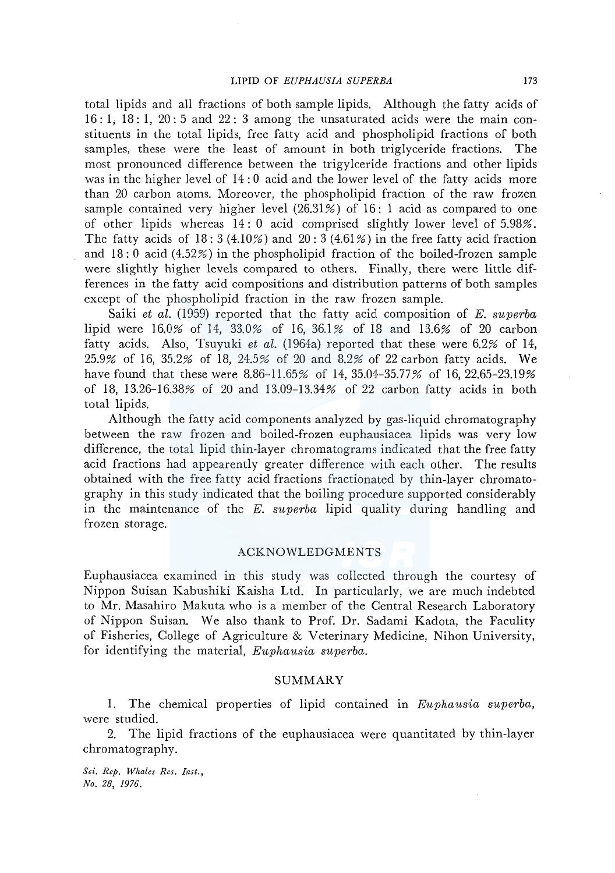total lipids and all fractions of both sample lipids. Although the fatty acids of  $16: 1, 18: 1, 20: 5$  and  $22: 3$  among the unsaturated acids were the main constituents in the total lipids, free fatty acid and phospholipid fractions of both samples, these were the least of amount in both triglyceride fractions. The most pronounced difference between the trigylceride fractions and other lipids was in the higher level of 14 : 0 acid and the lower level of the fatty acids more than 20 carbon atoms. Moreover, the phospholipid fraction of the raw frozen sample contained very higher level (26.31%) of 16: 1 acid as compared to one of other lipids whereas 14: 0 acid comprised slightly lower level of 5.98%. The fatty acids of  $18:3(4.10\%)$  and  $20:3(4.61\%)$  in the free fatty acid fraction and 18: 0 acid (4.52%) in the phospholipid fraction of the boiled-frozen sample were slightly higher levels compared to others. Finally, there were little differences in the fatty acid compositions and distribution patterns of both samples except of the phospholipid fraction in the raw frozen sample.

Saiki *et al.* (1959) reported that the fatty acid composition of *E. superba*  lipid were 16.0% of 14, 33.0% of 16, 36.1% of 18 and 13.6% of 20 carbon fatty acids. Also, Tsuyuki et al. (1964a) reported that these were 6.2% of 14, 25.9% of 16, 35.2% of 18, 24.5% of 20 and 8.2% of 22 carbon fatty acids. We have found that these were 8.86-11.65% of 14, 35.04-35.77% of 16, 22.65-23.19% of 18, 13.26-16.38% of 20 and 13.09-13.34% of 22 carbon fatty acids in both total lipids.

Although the fatty acid components analyzed by gas-liquid chromatography between the raw frozen and boiled-frozen euphausiacea lipids was very low difference, the total lipid thin-layer chromatograms indicated that the free fatty acid fractions had appearently greater difference with each other. The results obtained with the free fatty acid fractions fractionated by thin-layer chromatography in this study indicated that the boiling procedure supported considerably in the maintenance of the *E. superba* lipid quality during handling and frozen storage.

## **ACKNOWLEDGMENTS**

Euphausiacea examined in this study was collected through the courtesy of Nippon Suisan Kabushiki Kaisha Ltd. In particularly, we are much indebted to Mr. Masahiro Makuta who is a member of the Central Research Laboratory of Nippon Suisan. We also thank to Prof. Dr. Sadami Kadota, the Faculity of Fisheries, College of Agriculture & Veterinary Medicine, Nihon University, for identifying the material, *Euphausia superba*.

### SUMMARY

1. The chemical properties of lipid contained m *Eiiphausia superba,*  were studied.

2. The lipid fractions of the euphausiacea were quantitated by thin-layer chromatography.